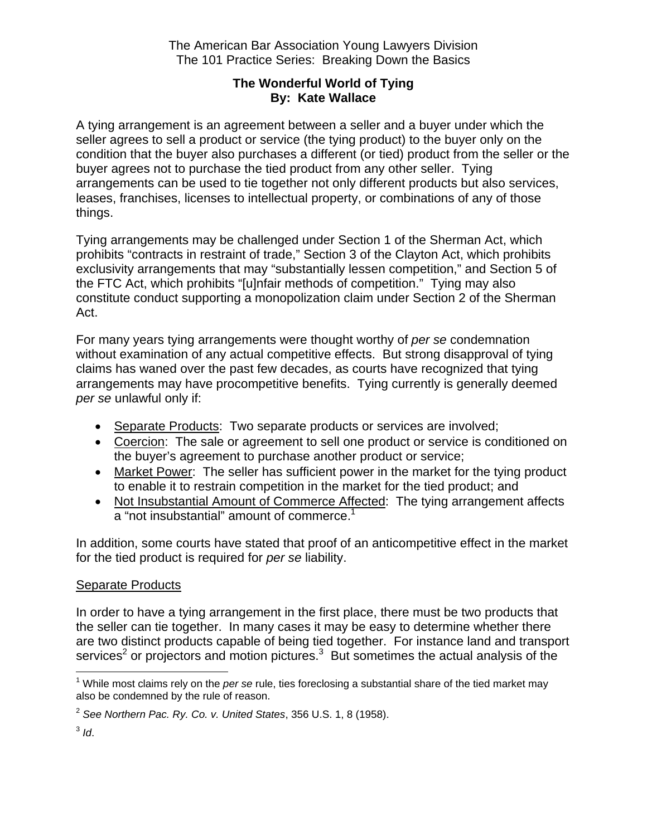The American Bar Association Young Lawyers Division The 101 Practice Series: Breaking Down the Basics

### **The Wonderful World of Tying By: Kate Wallace**

A tying arrangement is an agreement between a seller and a buyer under which the seller agrees to sell a product or service (the tying product) to the buyer only on the condition that the buyer also purchases a different (or tied) product from the seller or the buyer agrees not to purchase the tied product from any other seller. Tying arrangements can be used to tie together not only different products but also services, leases, franchises, licenses to intellectual property, or combinations of any of those things.

Tying arrangements may be challenged under Section 1 of the Sherman Act, which prohibits "contracts in restraint of trade," Section 3 of the Clayton Act, which prohibits exclusivity arrangements that may "substantially lessen competition," and Section 5 of the FTC Act, which prohibits "[u]nfair methods of competition." Tying may also constitute conduct supporting a monopolization claim under Section 2 of the Sherman Act.

For many years tying arrangements were thought worthy of *per se* condemnation without examination of any actual competitive effects. But strong disapproval of tying claims has waned over the past few decades, as courts have recognized that tying arrangements may have procompetitive benefits. Tying currently is generally deemed *per se* unlawful only if:

- Separate Products: Two separate products or services are involved;
- Coercion: The sale or agreement to sell one product or service is conditioned on the buyer's agreement to purchase another product or service;
- Market Power: The seller has sufficient power in the market for the tying product to enable it to restrain competition in the market for the tied product; and
- Not Insubstantial Amount of Commerce Affected: The tying arrangement affects a "not insubstantial" amount of commerce.<sup>1</sup>

In addition, some courts have stated that proof of an anticompetitive effect in the market for the tied product is required for *per se* liability.

# **Separate Products**

In order to have a tying arrangement in the first place, there must be two products that the seller can tie together. In many cases it may be easy to determine whether there are two distinct products capable of being tied together. For instance land and transport services<sup>2</sup> or projectors and motion pictures.<sup>3</sup> But sometimes the actual analysis of the

 $\overline{a}$ <sup>1</sup> While most claims rely on the *per se* rule, ties foreclosing a substantial share of the tied market may also be condemned by the rule of reason.

<sup>2</sup> *See Northern Pac. Ry. Co. v. United States*, 356 U.S. 1, 8 (1958).

<sup>3</sup> *Id*.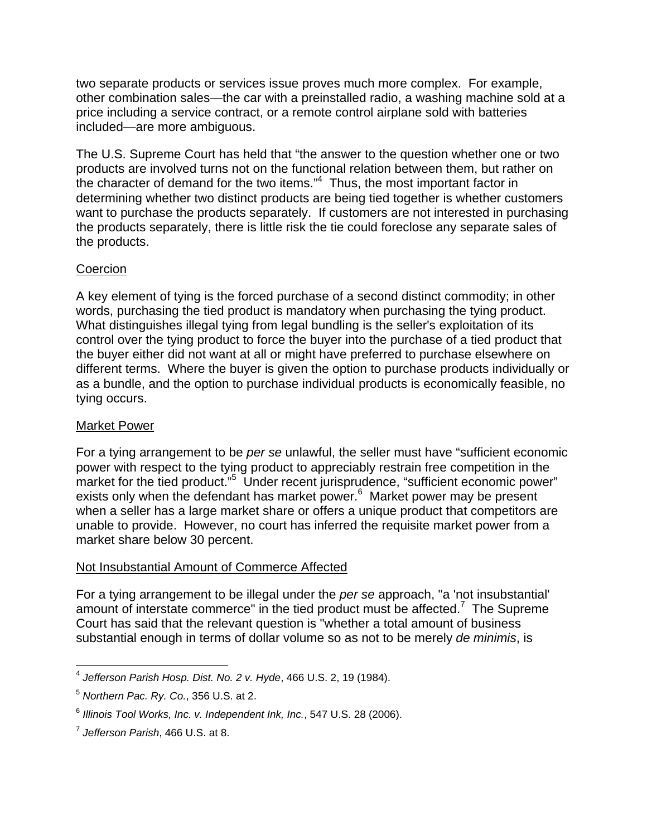two separate products or services issue proves much more complex. For example, other combination sales—the car with a preinstalled radio, a washing machine sold at a price including a service contract, or a remote control airplane sold with batteries included—are more ambiguous.

The U.S. Supreme Court has held that "the answer to the question whether one or two products are involved turns not on the functional relation between them, but rather on the character of demand for the two items."<sup>4</sup> Thus, the most important factor in determining whether two distinct products are being tied together is whether customers want to purchase the products separately. If customers are not interested in purchasing the products separately, there is little risk the tie could foreclose any separate sales of the products.

## **Coercion**

A key element of tying is the forced purchase of a second distinct commodity; in other words, purchasing the tied product is mandatory when purchasing the tying product. What distinguishes illegal tying from legal bundling is the seller's exploitation of its control over the tying product to force the buyer into the purchase of a tied product that the buyer either did not want at all or might have preferred to purchase elsewhere on different terms. Where the buyer is given the option to purchase products individually or as a bundle, and the option to purchase individual products is economically feasible, no tying occurs.

## Market Power

For a tying arrangement to be *per se* unlawful, the seller must have "sufficient economic power with respect to the tying product to appreciably restrain free competition in the market for the tied product."<sup>5</sup> Under recent jurisprudence, "sufficient economic power" exists only when the defendant has market power.<sup>6</sup> Market power may be present when a seller has a large market share or offers a unique product that competitors are unable to provide. However, no court has inferred the requisite market power from a market share below 30 percent.

#### Not Insubstantial Amount of Commerce Affected

For a tying arrangement to be illegal under the *per se* approach, "a 'not insubstantial' amount of interstate commerce" in the tied product must be affected.<sup>7</sup> The Supreme Court has said that the relevant question is "whether a total amount of business substantial enough in terms of dollar volume so as not to be merely *de minimis*, is

<sup>1</sup> <sup>4</sup> *Jefferson Parish Hosp. Dist. No. 2 v. Hyde*, 466 U.S. 2, 19 (1984).

<sup>5</sup> *Northern Pac. Ry. Co.*, 356 U.S. at 2.

<sup>6</sup> *Illinois Tool Works, Inc. v. Independent Ink, Inc.*, 547 U.S. 28 (2006).

<sup>7</sup> *Jefferson Parish*, 466 U.S. at 8.